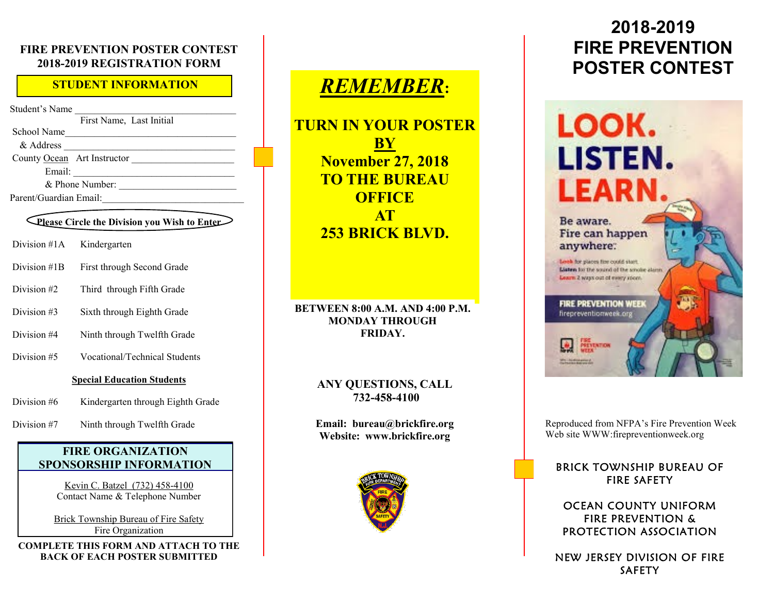#### **FIRE PREVENTION POSTER CONTEST 2018-2019 REGISTRATION FORM**

#### **STUDENT INFORMATION**

Student's Name

First Name, Last Initial School Name\_\_\_\_\_\_\_\_\_\_\_\_\_\_\_\_\_\_\_\_\_\_\_\_\_\_\_\_\_\_\_\_\_\_\_ & Address County Ocean Art Instructor \_\_\_\_\_\_\_\_\_\_\_\_\_\_\_\_\_\_\_\_\_ Email: \_\_\_\_\_\_\_\_\_\_\_\_\_\_\_\_\_\_\_\_\_\_\_\_\_\_\_\_\_\_\_\_\_  $\&$  Phone Number: Parent/Guardian Email:

#### **Please Circle the Division you Wish to Enter**

- Division #1A Kindergarten
- Division #1B First through Second Grade
- Division #2 Third through Fifth Grade
- Division #3 Sixth through Eighth Grade
- Division #4 Ninth through Twelfth Grade
- Division #5 Vocational/Technical Students

#### **Special Education Students**

- Division #6 Kindergarten through Eighth Grade
- Division #7 Ninth through Twelfth Grade

#### **FIRE ORGANIZATION SPONSORSHIP INFORMATION**

Kevin C. Batzel (732) 458-4100 Contact Name & Telephone Number

Brick Township Bureau of Fire Safety Fire Organization

**COMPLETE THIS FORM AND ATTACH TO THE BACK OF EACH POSTER SUBMITTED**

# *REMEMBER***:**

**TURN IN YOUR POSTER BY November 27, 2018 TO THE BUREAU OFFICE AT 253 BRICK BLVD.** 

#### **BETWEEN 8:00 A.M. AND 4:00 P.M. MONDAY THROUGH FRIDAY.**

#### **ANY QUESTIONS, CALL 732-458-4100**

**Email: bureau@brickfire.org Website: www.brickfire.org**



# **2018-2019 FIRE PREVENTION POSTER CONTEST**

# LOOK. LISTEN. **LEARN.**

Be aware. Fire can happen anywhere:

Look for places fire could stort. Listen for the sound of the smoke alarm Learn 2 ways out of every room.

**FIRE PREVENTION WEEK** firepreventionweek.org

**PREVENTION** 

Reproduced from NFPA's Fire Prevention Week Web site WWW:firepreventionweek.org

#### **BRICK TOWNSHIP BUREAU OF FIRE SAFETY**

#### OCEAN COUNTY UNIFORM **FIRE PREVENTION &** PROTECTION ASSOCIATION

NEW JERSEY DIVISION OF FIRE **SAFETY**